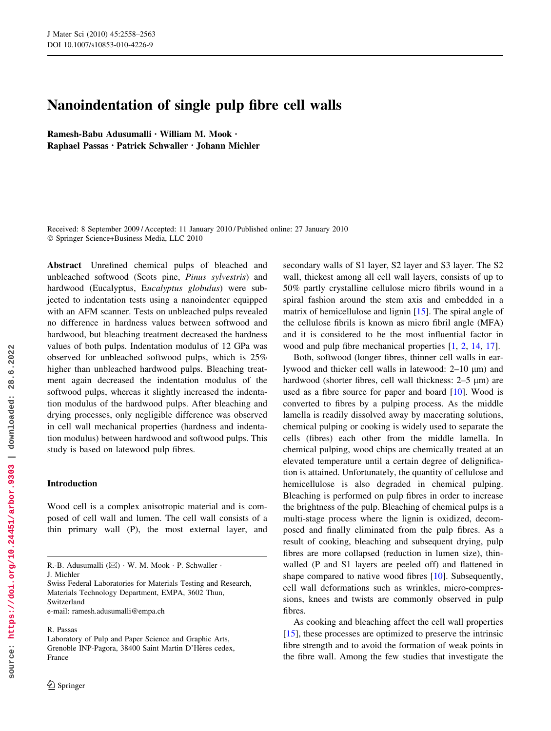# Nanoindentation of single pulp fibre cell walls

Ramesh-Babu Adusumalli • William M. Mook • Raphael Passas • Patrick Schwaller • Johann Michler

Received: 8 September 2009 / Accepted: 11 January 2010 / Published online: 27 January 2010 Springer Science+Business Media, LLC 2010

Abstract Unrefined chemical pulps of bleached and unbleached softwood (Scots pine, Pinus sylvestris) and hardwood (Eucalyptus, Eucalyptus globulus) were subjected to indentation tests using a nanoindenter equipped with an AFM scanner. Tests on unbleached pulps revealed no difference in hardness values between softwood and hardwood, but bleaching treatment decreased the hardness values of both pulps. Indentation modulus of 12 GPa was observed for unbleached softwood pulps, which is 25% higher than unbleached hardwood pulps. Bleaching treatment again decreased the indentation modulus of the softwood pulps, whereas it slightly increased the indentation modulus of the hardwood pulps. After bleaching and drying processes, only negligible difference was observed in cell wall mechanical properties (hardness and indentation modulus) between hardwood and softwood pulps. This study is based on latewood pulp fibres.

# Introduction

Wood cell is a complex anisotropic material and is composed of cell wall and lumen. The cell wall consists of a thin primary wall (P), the most external layer, and

e-mail: ramesh.adusumalli@empa.ch

R. Passas

secondary walls of S1 layer, S2 layer and S3 layer. The S2 wall, thickest among all cell wall layers, consists of up to 50% partly crystalline cellulose micro fibrils wound in a spiral fashion around the stem axis and embedded in a matrix of hemicellulose and lignin [15]. The spiral angle of the cellulose fibrils is known as micro fibril angle (MFA) and it is considered to be the most influential factor in wood and pulp fibre mechanical properties [1, 2, 14, 17].

Both, softwood (longer fibres, thinner cell walls in earlywood and thicker cell walls in latewood:  $2-10 \mu m$ ) and hardwood (shorter fibres, cell wall thickness:  $2-5 \mu m$ ) are used as a fibre source for paper and board [10]. Wood is converted to fibres by a pulping process. As the middle lamella is readily dissolved away by macerating solutions, chemical pulping or cooking is widely used to separate the cells (fibres) each other from the middle lamella. In chemical pulping, wood chips are chemically treated at an elevated temperature until a certain degree of delignification is attained. Unfortunately, the quantity of cellulose and hemicellulose is also degraded in chemical pulping. Bleaching is performed on pulp fibres in order to increase the brightness of the pulp. Bleaching of chemical pulps is a multi-stage process where the lignin is oxidized, decomposed and finally eliminated from the pulp fibres. As a result of cooking, bleaching and subsequent drying, pulp fibres are more collapsed (reduction in lumen size), thinwalled (P and S1 layers are peeled off) and flattened in shape compared to native wood fibres [10]. Subsequently, cell wall deformations such as wrinkles, micro-compressions, knees and twists are commonly observed in pulp fibres.

As cooking and bleaching affect the cell wall properties [15], these processes are optimized to preserve the intrinsic fibre strength and to avoid the formation of weak points in the fibre wall. Among the few studies that investigate the

R.-B. Adusumalli  $(\boxtimes) \cdot W$ . M. Mook  $\cdot$  P. Schwaller  $\cdot$ 

J. Michler

Swiss Federal Laboratories for Materials Testing and Research, Materials Technology Department, EMPA, 3602 Thun, Switzerland

Laboratory of Pulp and Paper Science and Graphic Arts, Grenoble INP-Pagora, 38400 Saint Martin D'Hères cedex, France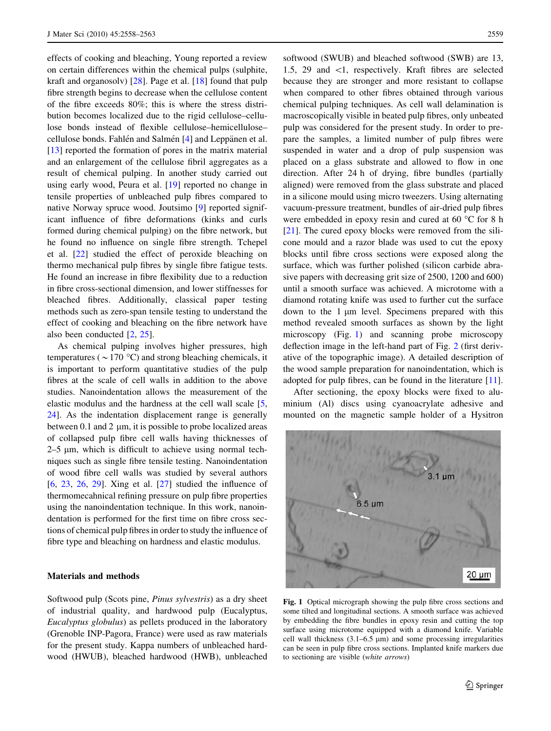effects of cooking and bleaching, Young reported a review on certain differences within the chemical pulps (sulphite, kraft and organosolv) [28]. Page et al. [18] found that pulp fibre strength begins to decrease when the cellulose content of the fibre exceeds 80%; this is where the stress distribution becomes localized due to the rigid cellulose–cellulose bonds instead of flexible cellulose–hemicellulose– cellulose bonds. Fahlén and Salmén [4] and Leppänen et al. [13] reported the formation of pores in the matrix material and an enlargement of the cellulose fibril aggregates as a result of chemical pulping. In another study carried out using early wood, Peura et al. [19] reported no change in tensile properties of unbleached pulp fibres compared to native Norway spruce wood. Joutsimo [9] reported significant influence of fibre deformations (kinks and curls formed during chemical pulping) on the fibre network, but he found no influence on single fibre strength. Tchepel et al. [22] studied the effect of peroxide bleaching on thermo mechanical pulp fibres by single fibre fatigue tests. He found an increase in fibre flexibility due to a reduction in fibre cross-sectional dimension, and lower stiffnesses for bleached fibres. Additionally, classical paper testing methods such as zero-span tensile testing to understand the effect of cooking and bleaching on the fibre network have also been conducted [2, 25].

As chemical pulping involves higher pressures, high temperatures ( $\sim$  170 °C) and strong bleaching chemicals, it is important to perform quantitative studies of the pulp fibres at the scale of cell walls in addition to the above studies. Nanoindentation allows the measurement of the elastic modulus and the hardness at the cell wall scale [5, 24]. As the indentation displacement range is generally between 0.1 and 2  $\mu$ m, it is possible to probe localized areas of collapsed pulp fibre cell walls having thicknesses of  $2-5$  µm, which is difficult to achieve using normal techniques such as single fibre tensile testing. Nanoindentation of wood fibre cell walls was studied by several authors [6, 23, 26, 29]. Xing et al. [27] studied the influence of thermomecahnical refining pressure on pulp fibre properties using the nanoindentation technique. In this work, nanoindentation is performed for the first time on fibre cross sections of chemical pulp fibres in order to study the influence of fibre type and bleaching on hardness and elastic modulus.

## Materials and methods

Softwood pulp (Scots pine, Pinus sylvestris) as a dry sheet of industrial quality, and hardwood pulp (Eucalyptus, Eucalyptus globulus) as pellets produced in the laboratory (Grenoble INP-Pagora, France) were used as raw materials for the present study. Kappa numbers of unbleached hardwood (HWUB), bleached hardwood (HWB), unbleached softwood (SWUB) and bleached softwood (SWB) are 13, 1.5, 29 and *\*1, respectively. Kraft fibres are selected because they are stronger and more resistant to collapse when compared to other fibres obtained through various chemical pulping techniques. As cell wall delamination is macroscopically visible in beated pulp fibres, only unbeated pulp was considered for the present study. In order to prepare the samples, a limited number of pulp fibres were suspended in water and a drop of pulp suspension was placed on a glass substrate and allowed to flow in one direction. After 24 h of drying, fibre bundles (partially aligned) were removed from the glass substrate and placed in a silicone mould using micro tweezers. Using alternating vacuum-pressure treatment, bundles of air-dried pulp fibres were embedded in epoxy resin and cured at 60  $^{\circ}$ C for 8 h [21]. The cured epoxy blocks were removed from the silicone mould and a razor blade was used to cut the epoxy blocks until fibre cross sections were exposed along the surface, which was further polished (silicon carbide abrasive papers with decreasing grit size of 2500, 1200 and 600) until a smooth surface was achieved. A microtome with a diamond rotating knife was used to further cut the surface down to the  $1 \mu m$  level. Specimens prepared with this method revealed smooth surfaces as shown by the light microscopy (Fig. 1) and scanning probe microscopy deflection image in the left-hand part of Fig. 2 (first derivative of the topographic image). A detailed description of the wood sample preparation for nanoindentation, which is adopted for pulp fibres, can be found in the literature [11].

After sectioning, the epoxy blocks were fixed to aluminium (Al) discs using cyanoacrylate adhesive and mounted on the magnetic sample holder of a Hysitron



Fig. 1 Optical micrograph showing the pulp fibre cross sections and some tilted and longitudinal sections. A smooth surface was achieved by embedding the fibre bundles in epoxy resin and cutting the top surface using microtome equipped with a diamond knife. Variable cell wall thickness  $(3.1-6.5 \mu m)$  and some processing irregularities can be seen in pulp fibre cross sections. Implanted knife markers due to sectioning are visible (white arrows)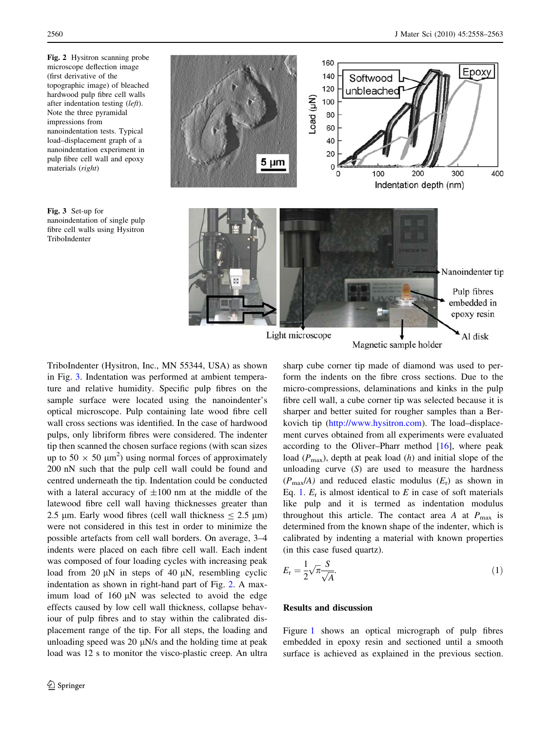Fig. 2 Hysitron scanning probe microscope deflection image (first derivative of the topographic image) of bleached hardwood pulp fibre cell walls after indentation testing (left). Note the three pyramidal impressions from nanoindentation tests. Typical load–displacement graph of a nanoindentation experiment in pulp fibre cell wall and epoxy materials (right)





TriboIndenter (Hysitron, Inc., MN 55344, USA) as shown in Fig. 3. Indentation was performed at ambient temperature and relative humidity. Specific pulp fibres on the sample surface were located using the nanoindenter's optical microscope. Pulp containing late wood fibre cell wall cross sections was identified. In the case of hardwood pulps, only libriform fibres were considered. The indenter tip then scanned the chosen surface regions (with scan sizes up to  $50 \times 50 \mu m^2$ ) using normal forces of approximately 200 nN such that the pulp cell wall could be found and centred underneath the tip. Indentation could be conducted with a lateral accuracy of  $\pm 100$  nm at the middle of the latewood fibre cell wall having thicknesses greater than 2.5 µm. Early wood fibres (cell wall thickness  $\le 2.5$  µm) were not considered in this test in order to minimize the possible artefacts from cell wall borders. On average, 3–4 indents were placed on each fibre cell wall. Each indent was composed of four loading cycles with increasing peak load from 20  $\mu$ N in steps of 40  $\mu$ N, resembling cyclic indentation as shown in right-hand part of Fig. 2. A maximum load of 160  $\mu$ N was selected to avoid the edge effects caused by low cell wall thickness, collapse behaviour of pulp fibres and to stay within the calibrated displacement range of the tip. For all steps, the loading and unloading speed was 20  $\mu$ N/s and the holding time at peak load was 12 s to monitor the visco-plastic creep. An ultra sharp cube corner tip made of diamond was used to perform the indents on the fibre cross sections. Due to the micro-compressions, delaminations and kinks in the pulp fibre cell wall, a cube corner tip was selected because it is sharper and better suited for rougher samples than a Berkovich tip (<http://www.hysitron.com>). The load–displacement curves obtained from all experiments were evaluated according to the Oliver–Pharr method  $[16]$ , where peak load  $(P_{\text{max}})$ , depth at peak load  $(h)$  and initial slope of the unloading curve  $(S)$  are used to measure the hardness  $(P_{\text{max}}/A)$  and reduced elastic modulus  $(E_r)$  as shown in Eq. 1.  $E_r$  is almost identical to E in case of soft materials like pulp and it is termed as indentation modulus throughout this article. The contact area A at  $P_{\text{max}}$  is determined from the known shape of the indenter, which is calibrated by indenting a material with known properties (in this case fused quartz).

$$
E_{\rm r} = \frac{1}{2} \sqrt{\pi} \frac{S}{\sqrt{A}}.\tag{1}
$$

### Results and discussion

Figure 1 shows an optical micrograph of pulp fibres embedded in epoxy resin and sectioned until a smooth surface is achieved as explained in the previous section.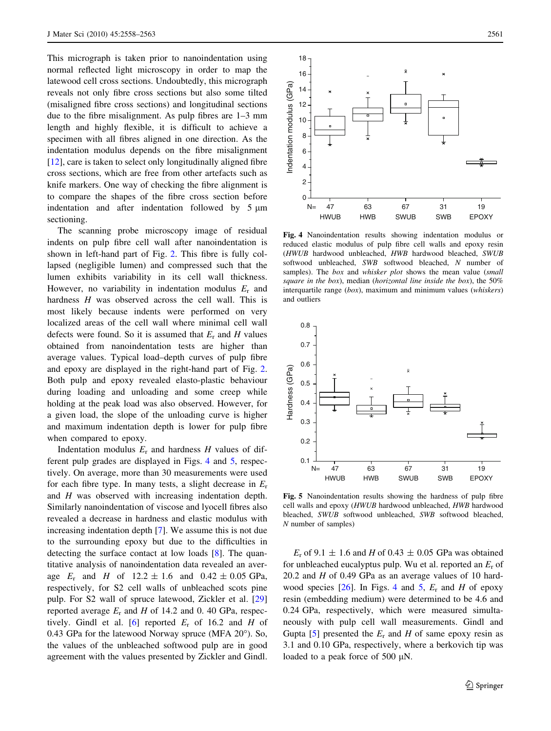This micrograph is taken prior to nanoindentation using normal reflected light microscopy in order to map the latewood cell cross sections. Undoubtedly, this micrograph reveals not only fibre cross sections but also some tilted (misaligned fibre cross sections) and longitudinal sections due to the fibre misalignment. As pulp fibres are 1–3 mm length and highly flexible, it is difficult to achieve a specimen with all fibres aligned in one direction. As the indentation modulus depends on the fibre misalignment [12], care is taken to select only longitudinally aligned fibre cross sections, which are free from other artefacts such as knife markers. One way of checking the fibre alignment is to compare the shapes of the fibre cross section before indentation and after indentation followed by  $5 \mu m$ sectioning.

The scanning probe microscopy image of residual indents on pulp fibre cell wall after nanoindentation is shown in left-hand part of Fig. 2. This fibre is fully collapsed (negligible lumen) and compressed such that the lumen exhibits variability in its cell wall thickness. However, no variability in indentation modulus  $E_r$  and hardness H was observed across the cell wall. This is most likely because indents were performed on very localized areas of the cell wall where minimal cell wall defects were found. So it is assumed that  $E_r$  and H values obtained from nanoindentation tests are higher than average values. Typical load–depth curves of pulp fibre and epoxy are displayed in the right-hand part of Fig. 2. Both pulp and epoxy revealed elasto-plastic behaviour during loading and unloading and some creep while holding at the peak load was also observed. However, for a given load, the slope of the unloading curve is higher and maximum indentation depth is lower for pulp fibre when compared to epoxy.

Indentation modulus  $E_r$  and hardness H values of different pulp grades are displayed in Figs. 4 and 5, respectively. On average, more than 30 measurements were used for each fibre type. In many tests, a slight decrease in  $E_r$ and H was observed with increasing indentation depth. Similarly nanoindentation of viscose and lyocell fibres also revealed a decrease in hardness and elastic modulus with increasing indentation depth [7]. We assume this is not due to the surrounding epoxy but due to the difficulties in detecting the surface contact at low loads [8]. The quantitative analysis of nanoindentation data revealed an average  $E_r$  and H of  $12.2 \pm 1.6$  and  $0.42 \pm 0.05$  GPa, respectively, for S2 cell walls of unbleached scots pine pulp. For S2 wall of spruce latewood, Zickler et al. [29] reported average  $E_r$  and H of 14.2 and 0.40 GPa, respectively. Gindl et al. [6] reported  $E_r$  of 16.2 and H of  $0.43$  GPa for the latewood Norway spruce (MFA  $20^{\circ}$ ). So, the values of the unbleached softwood pulp are in good agreement with the values presented by Zickler and Gindl.



Fig. 4 Nanoindentation results showing indentation modulus or reduced elastic modulus of pulp fibre cell walls and epoxy resin (HWUB hardwood unbleached, HWB hardwood bleached, SWUB softwood unbleached, SWB softwood bleached, N number of samples). The box and whisker plot shows the mean value (small square in the box), median (horizontal line inside the box), the 50% interquartile range (box), maximum and minimum values (whiskers) and outliers



Fig. 5 Nanoindentation results showing the hardness of pulp fibre cell walls and epoxy (HWUB hardwood unbleached, HWB hardwood bleached, SWUB softwood unbleached, SWB softwood bleached, N number of samples)

 $E_r$  of 9.1  $\pm$  1.6 and H of 0.43  $\pm$  0.05 GPa was obtained for unbleached eucalyptus pulp. Wu et al. reported an  $E_r$  of 20.2 and  $H$  of 0.49 GPa as an average values of 10 hardwood species [26]. In Figs. 4 and 5,  $E_r$  and H of epoxy resin (embedding medium) were determined to be 4.6 and 0.24 GPa, respectively, which were measured simultaneously with pulp cell wall measurements. Gindl and Gupta [5] presented the  $E_r$  and H of same epoxy resin as 3.1 and 0.10 GPa, respectively, where a berkovich tip was loaded to a peak force of 500  $\mu$ N.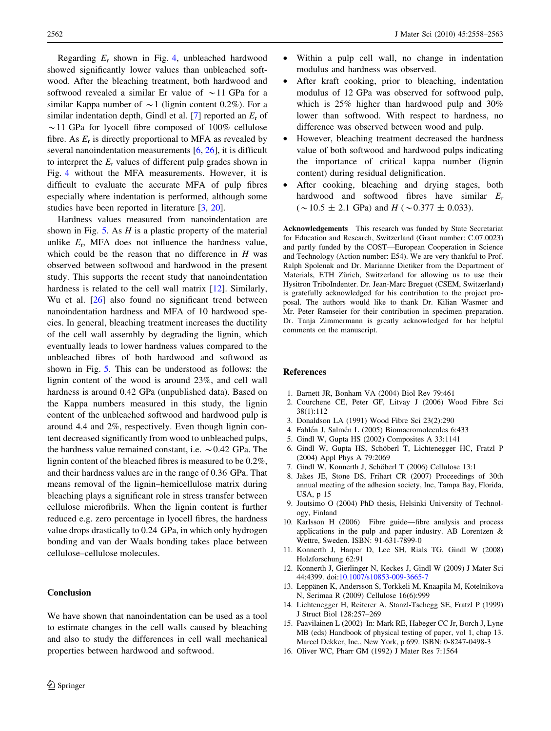Regarding  $E_r$  shown in Fig. 4, unbleached hardwood showed significantly lower values than unbleached softwood. After the bleaching treatment, both hardwood and softwood revealed a similar Er value of  $\sim$ 11 GPa for a similar Kappa number of  $\sim$  1 (lignin content 0.2%). For a similar indentation depth, Gindl et al. [7] reported an  $E_r$  of  $\sim$  11 GPa for lyocell fibre composed of 100% cellulose fibre. As  $E_r$  is directly proportional to MFA as revealed by several nanoindentation measurements [6, 26], it is difficult to interpret the  $E_r$  values of different pulp grades shown in Fig. 4 without the MFA measurements. However, it is difficult to evaluate the accurate MFA of pulp fibres especially where indentation is performed, although some studies have been reported in literature [3, 20].

Hardness values measured from nanoindentation are shown in Fig. 5. As  $H$  is a plastic property of the material unlike  $E_r$ , MFA does not influence the hardness value, which could be the reason that no difference in  $H$  was observed between softwood and hardwood in the present study. This supports the recent study that nanoindentation hardness is related to the cell wall matrix [12]. Similarly, Wu et al. [26] also found no significant trend between nanoindentation hardness and MFA of 10 hardwood species. In general, bleaching treatment increases the ductility of the cell wall assembly by degrading the lignin, which eventually leads to lower hardness values compared to the unbleached fibres of both hardwood and softwood as shown in Fig. 5. This can be understood as follows: the lignin content of the wood is around 23%, and cell wall hardness is around 0.42 GPa (unpublished data). Based on the Kappa numbers measured in this study, the lignin content of the unbleached softwood and hardwood pulp is around 4.4 and 2%, respectively. Even though lignin content decreased significantly from wood to unbleached pulps, the hardness value remained constant, i.e.  $\sim 0.42$  GPa. The lignin content of the bleached fibres is measured to be 0.2%, and their hardness values are in the range of 0.36 GPa. That means removal of the lignin–hemicellulose matrix during bleaching plays a significant role in stress transfer between cellulose microfibrils. When the lignin content is further reduced e.g. zero percentage in lyocell fibres, the hardness value drops drastically to 0.24 GPa, in which only hydrogen bonding and van der Waals bonding takes place between cellulose–cellulose molecules.

#### Conclusion

We have shown that nanoindentation can be used as a tool to estimate changes in the cell walls caused by bleaching and also to study the differences in cell wall mechanical properties between hardwood and softwood.

- 2562 J Mater Sci (2010) 45:2558–2563
	- Within a pulp cell wall, no change in indentation modulus and hardness was observed.
	- After kraft cooking, prior to bleaching, indentation modulus of 12 GPa was observed for softwood pulp, which is 25% higher than hardwood pulp and 30% lower than softwood. With respect to hardness, no difference was observed between wood and pulp.
	- However, bleaching treatment decreased the hardness value of both softwood and hardwood pulps indicating the importance of critical kappa number (lignin content) during residual delignification.
	- After cooking, bleaching and drying stages, both hardwood and softwood fibres have similar  $E_r$  $({\sim}10.5 \pm 2.1$  GPa) and  $H({\sim}0.377 \pm 0.033)$ .

Acknowledgements This research was funded by State Secretariat for Education and Research, Switzerland (Grant number: C.07.0023) and partly funded by the COST—European Cooperation in Science and Technology (Action number: E54). We are very thankful to Prof. Ralph Spolenak and Dr. Marianne Dietiker from the Department of Materials, ETH Zürich, Switzerland for allowing us to use their Hysitron TriboIndenter. Dr. Jean-Marc Breguet (CSEM, Switzerland) is gratefully acknowledged for his contribution to the project proposal. The authors would like to thank Dr. Kilian Wasmer and Mr. Peter Ramseier for their contribution in specimen preparation. Dr. Tanja Zimmermann is greatly acknowledged for her helpful comments on the manuscript.

#### References

- 1. Barnett JR, Bonham VA (2004) Biol Rev 79:461
- 2. Courchene CE, Peter GF, Litvay J (2006) Wood Fibre Sci 38(1):112
- 3. Donaldson LA (1991) Wood Fibre Sci 23(2):290
- 4. Fahlén J, Salmén L (2005) Biomacromolecules 6:433
- 5. Gindl W, Gupta HS (2002) Composites A 33:1141
- 6. Gindl W, Gupta HS, Schöberl T, Lichtenegger HC, Fratzl P (2004) Appl Phys A 79:2069
- 7. Gindl W, Konnerth J, Schöberl T (2006) Cellulose 13:1
- 8. Jakes JE, Stone DS, Frihart CR (2007) Proceedings of 30th annual meeting of the adhesion society, Inc, Tampa Bay, Florida, USA, p 15
- 9. Joutsimo O (2004) PhD thesis, Helsinki University of Technology, Finland
- 10. Karlsson H (2006) Fibre guide—fibre analysis and process applications in the pulp and paper industry. AB Lorentzen & Wettre, Sweden. ISBN: 91-631-7899-0
- 11. Konnerth J, Harper D, Lee SH, Rials TG, Gindl W (2008) Holzforschung 62:91
- 12. Konnerth J, Gierlinger N, Keckes J, Gindl W (2009) J Mater Sci 44:4399. doi:[10.1007/s10853-009-3665-7](http://dx.doi.org/10.1007/s10853-009-3665-7)
- 13. Leppänen K, Andersson S, Torkkeli M, Knaapila M, Kotelnikova N, Serimaa R (2009) Cellulose 16(6):999
- 14. Lichtenegger H, Reiterer A, Stanzl-Tschegg SE, Fratzl P (1999) J Struct Biol 128:257–269
- 15. Paavilainen L (2002) In: Mark RE, Habeger CC Jr, Borch J, Lyne MB (eds) Handbook of physical testing of paper, vol 1, chap 13. Marcel Dekker, Inc., New York, p 699. ISBN: 0-8247-0498-3
- 16. Oliver WC, Pharr GM (1992) J Mater Res 7:1564